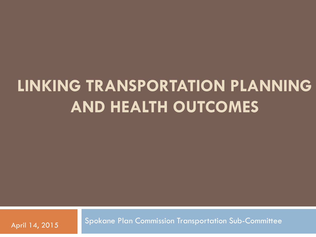# **LINKING TRANSPORTATION PLANNING AND HEALTH OUTCOMES**

April 14, 2015 Spokane Plan Commission Transportation Sub-Committee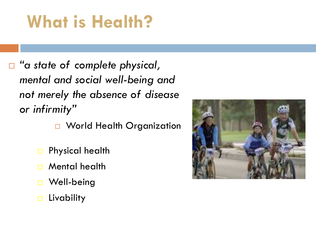# **What is Health?**

- *"a state of complete physical, mental and social well-being and not merely the absence of disease or infirmity"*
	- **D** World Health Organization
	- **Physical health**
	- **D** Mental health
	- □ Well-being
	- **D** Livability

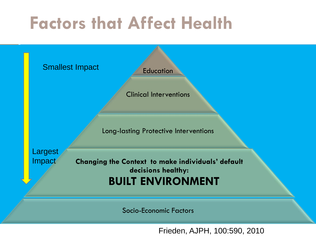### **Factors that Affect Health**



Frieden, AJPH, 100:590, 2010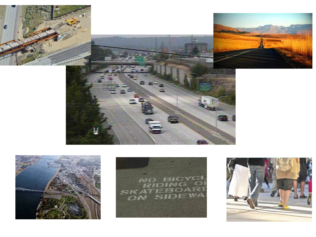









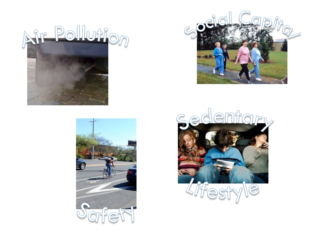





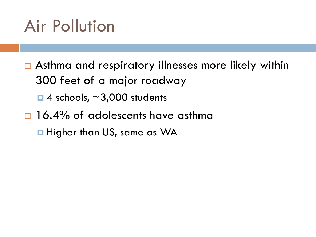### Air Pollution

□ Asthma and respiratory illnesses more likely within 300 feet of a major roadway  $\blacksquare$  4 schools, ~3,000 students

### $\Box$  16.4% of adolescents have asthma **Higher than US, same as WA**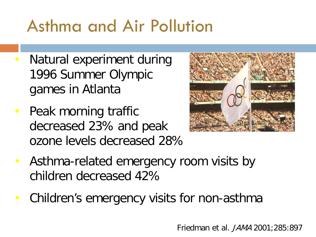# Asthma and Air Pollution

- Natural experiment during 1996 Summer Olympic games in Atlanta
- Peak morning traffic decreased 23% and peak ozone levels decreased 28%



- Asthma-related emergency room visits by children decreased 42%
- Children's emergency visits for non-asthma

Friedman et al. JAMA 2001;285:897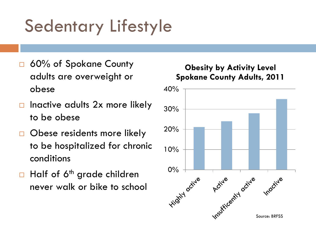# Sedentary Lifestyle

- □ 60% of Spokane County adults are overweight or obese
- $\Box$  Inactive adults 2x more likely to be obese
- Obese residents more likely to be hospitalized for chronic conditions
- $\Box$  Half of 6<sup>th</sup> grade children never walk or bike to school

#### **Obesity by Activity Level Spokane County Adults, 2011**

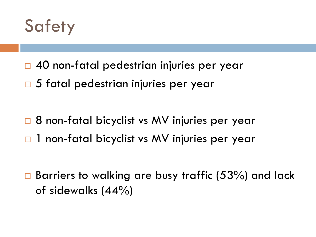**Safety** 

- □ 40 non-fatal pedestrian injuries per year
- □ 5 fatal pedestrian injuries per year

- □ 8 non-fatal bicyclist vs MV injuries per year
- □ 1 non-fatal bicyclist vs MV injuries per year
- $\Box$  Barriers to walking are busy traffic (53%) and lack of sidewalks (44%)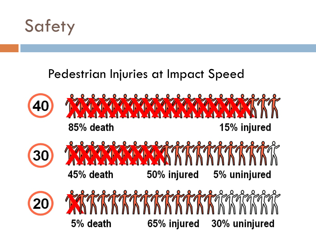

### Pedestrian Injuries at Impact Speed

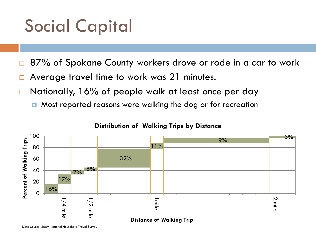### Social Capital

- 87% of Spokane County workers drove or rode in a car to work
- Average travel time to work was 21 minutes.
- $\Box$  Nationally, 16% of people walk at least once per day
	- Most reported reasons were walking the dog or for recreation



#### **Distribution of Walking Trips by Distance**

Data Source: 2009 National Household Travel Survey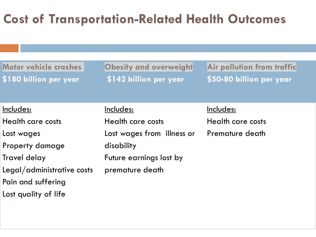### **Cost of Transportation-Related Health Outcomes**

**Motor vehicle crashes \$180 billion per year** 

**Obesity and overweight \$142 billion per year**

**Air pollution from traffic \$50-80 billion per year**

Includes: Health care costs

Lost wages

Property damage

Travel delay

Legal/administrative costs

Pain and suffering

Lost quality of life

Includes: Health care costs Lost wages from illness or disability Future earnings lost by premature death

Includes: Health care costs Premature death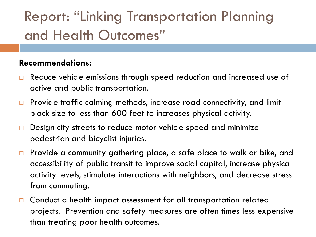### Report: "Linking Transportation Planning and Health Outcomes"

#### **Recommendations:**

- □ Reduce vehicle emissions through speed reduction and increased use of active and public transportation.
- □ Provide traffic calming methods, increase road connectivity, and limit block size to less than 600 feet to increases physical activity.
- □ Design city streets to reduce motor vehicle speed and minimize pedestrian and bicyclist injuries.
- □ Provide a community gathering place, a safe place to walk or bike, and accessibility of public transit to improve social capital, increase physical activity levels, stimulate interactions with neighbors, and decrease stress from commuting.
- □ Conduct a health impact assessment for all transportation related projects. Prevention and safety measures are often times less expensive than treating poor health outcomes.